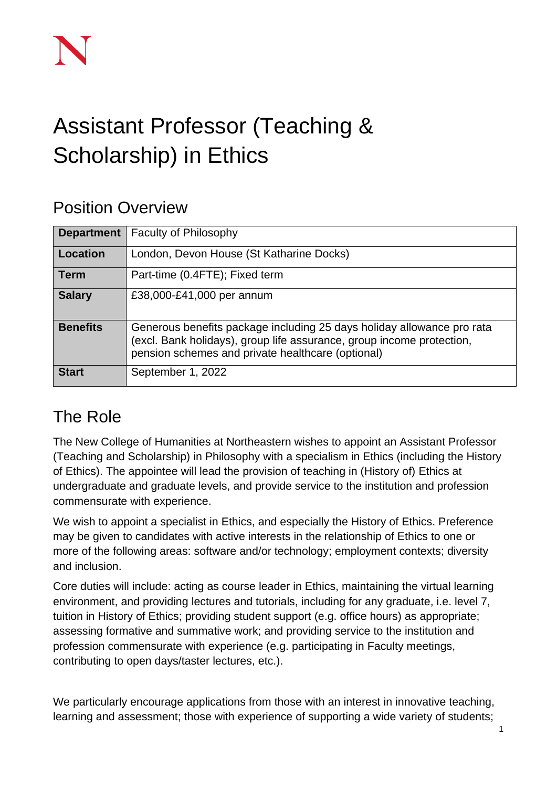# Assistant Professor (Teaching & Scholarship) in Ethics

## Position Overview

| <b>Department</b> | <b>Faculty of Philosophy</b>                                                                                                                                                                         |
|-------------------|------------------------------------------------------------------------------------------------------------------------------------------------------------------------------------------------------|
| Location          | London, Devon House (St Katharine Docks)                                                                                                                                                             |
| <b>Term</b>       | Part-time (0.4FTE); Fixed term                                                                                                                                                                       |
| <b>Salary</b>     | £38,000-£41,000 per annum                                                                                                                                                                            |
| <b>Benefits</b>   | Generous benefits package including 25 days holiday allowance pro rata<br>(excl. Bank holidays), group life assurance, group income protection,<br>pension schemes and private healthcare (optional) |
| <b>Start</b>      | September 1, 2022                                                                                                                                                                                    |

# The Role

The New College of Humanities at Northeastern wishes to appoint an Assistant Professor (Teaching and Scholarship) in Philosophy with a specialism in Ethics (including the History of Ethics). The appointee will lead the provision of teaching in (History of) Ethics at undergraduate and graduate levels, and provide service to the institution and profession commensurate with experience.

We wish to appoint a specialist in Ethics, and especially the History of Ethics. Preference may be given to candidates with active interests in the relationship of Ethics to one or more of the following areas: software and/or technology; employment contexts; diversity and inclusion.

Core duties will include: acting as course leader in Ethics, maintaining the virtual learning environment, and providing lectures and tutorials, including for any graduate, i.e. level 7, tuition in History of Ethics; providing student support (e.g. office hours) as appropriate; assessing formative and summative work; and providing service to the institution and profession commensurate with experience (e.g. participating in Faculty meetings, contributing to open days/taster lectures, etc.).

We particularly encourage applications from those with an interest in innovative teaching, learning and assessment; those with experience of supporting a wide variety of students;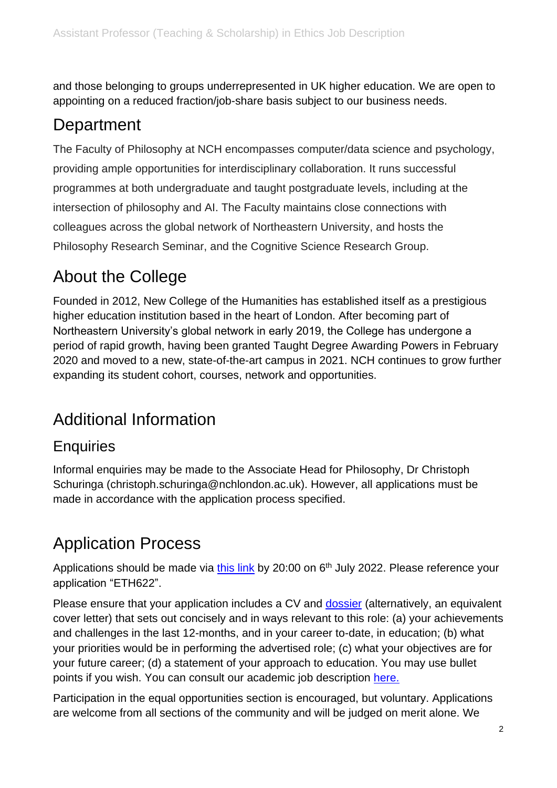and those belonging to groups underrepresented in UK higher education. We are open to appointing on a reduced fraction/job-share basis subject to our business needs.

## **Department**

The Faculty of Philosophy at NCH encompasses computer/data science and psychology, providing ample opportunities for interdisciplinary collaboration. It runs successful programmes at both undergraduate and taught postgraduate levels, including at the intersection of philosophy and AI. The Faculty maintains close connections with colleagues across the global network of Northeastern University, and hosts the Philosophy Research Seminar, and the Cognitive Science Research Group.

## About the College

Founded in 2012, New College of the Humanities has established itself as a prestigious higher education institution based in the heart of London. After becoming part of Northeastern University's global network in early 2019, the College has undergone a period of rapid growth, having been granted Taught Degree Awarding Powers in February 2020 and moved to a new, state-of-the-art campus in 2021. NCH continues to grow further expanding its student cohort, courses, network and opportunities.

# Additional Information

### **Enquiries**

Informal enquiries may be made to the Associate Head for Philosophy, Dr Christoph Schuringa (christoph.schuringa@nchlondon.ac.uk). However, all applications must be made in accordance with the application process specified.

## Application Process

Applications should be made via [this link](https://share.hsforms.com/1p3G6XPo_QD-X7V9aRnSTYQ2peji) by 20:00 on 6<sup>th</sup> July 2022. Please reference your application "ETH622".

Please ensure that your application includes a CV and **dossier** (alternatively, an equivalent cover letter) that sets out concisely and in ways relevant to this role: (a) your achievements and challenges in the last 12-months, and in your career to-date, in education; (b) what your priorities would be in performing the advertised role; (c) what your objectives are for your future career; (d) a statement of your approach to education. You may use bullet points if you wish. You can consult our academic job description [here.](https://drive.google.com/file/d/1I7F9QYlufh2BJ2XJmqaqAl4whnWpvObW/view?usp=sharing)

Participation in the equal opportunities section is encouraged, but voluntary. Applications are welcome from all sections of the community and will be judged on merit alone. We